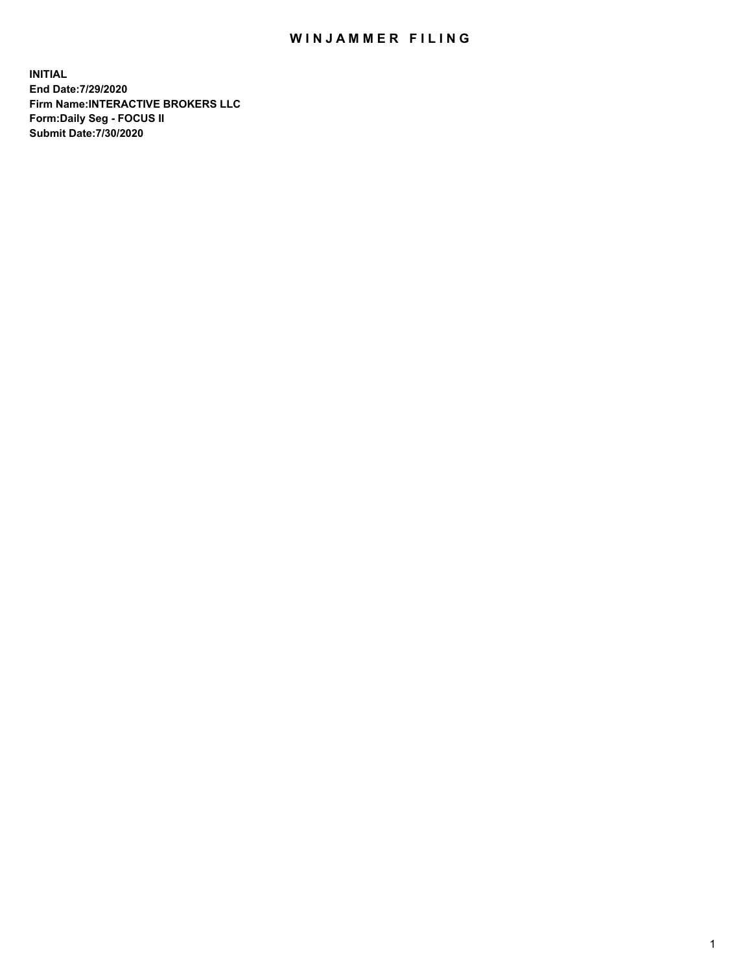## WIN JAMMER FILING

**INITIAL End Date:7/29/2020 Firm Name:INTERACTIVE BROKERS LLC Form:Daily Seg - FOCUS II Submit Date:7/30/2020**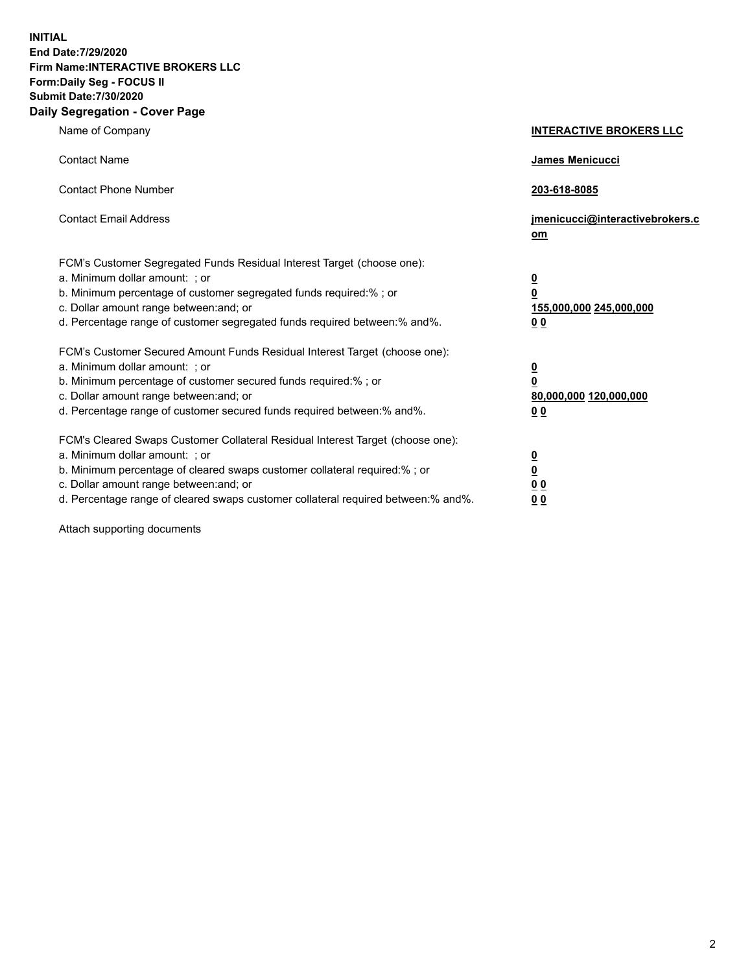**INITIAL End Date:7/29/2020 Firm Name:INTERACTIVE BROKERS LLC Form:Daily Seg - FOCUS II Submit Date:7/30/2020 Daily Segregation - Cover Page**

| Name of Company                                                                                                                                                                                                                                                                                                               | <b>INTERACTIVE BROKERS LLC</b>                                                                  |
|-------------------------------------------------------------------------------------------------------------------------------------------------------------------------------------------------------------------------------------------------------------------------------------------------------------------------------|-------------------------------------------------------------------------------------------------|
| <b>Contact Name</b>                                                                                                                                                                                                                                                                                                           | James Menicucci                                                                                 |
| <b>Contact Phone Number</b>                                                                                                                                                                                                                                                                                                   | 203-618-8085                                                                                    |
| <b>Contact Email Address</b>                                                                                                                                                                                                                                                                                                  | jmenicucci@interactivebrokers.c<br><u>om</u>                                                    |
| FCM's Customer Segregated Funds Residual Interest Target (choose one):<br>a. Minimum dollar amount: ; or<br>b. Minimum percentage of customer segregated funds required:% ; or<br>c. Dollar amount range between: and; or<br>d. Percentage range of customer segregated funds required between:% and%.                        | $\overline{\mathbf{0}}$<br>$\overline{\mathbf{0}}$<br>155,000,000 245,000,000<br>0 <sub>0</sub> |
| FCM's Customer Secured Amount Funds Residual Interest Target (choose one):<br>a. Minimum dollar amount: ; or<br>b. Minimum percentage of customer secured funds required:%; or<br>c. Dollar amount range between: and; or<br>d. Percentage range of customer secured funds required between:% and%.                           | $\overline{\mathbf{0}}$<br>$\overline{\mathbf{0}}$<br>80,000,000 120,000,000<br>0 <sub>0</sub>  |
| FCM's Cleared Swaps Customer Collateral Residual Interest Target (choose one):<br>a. Minimum dollar amount: ; or<br>b. Minimum percentage of cleared swaps customer collateral required:%; or<br>c. Dollar amount range between: and; or<br>d. Percentage range of cleared swaps customer collateral required between:% and%. | $\overline{\mathbf{0}}$<br>$\overline{\mathbf{0}}$<br>0 <sub>0</sub><br>0 <sub>0</sub>          |

Attach supporting documents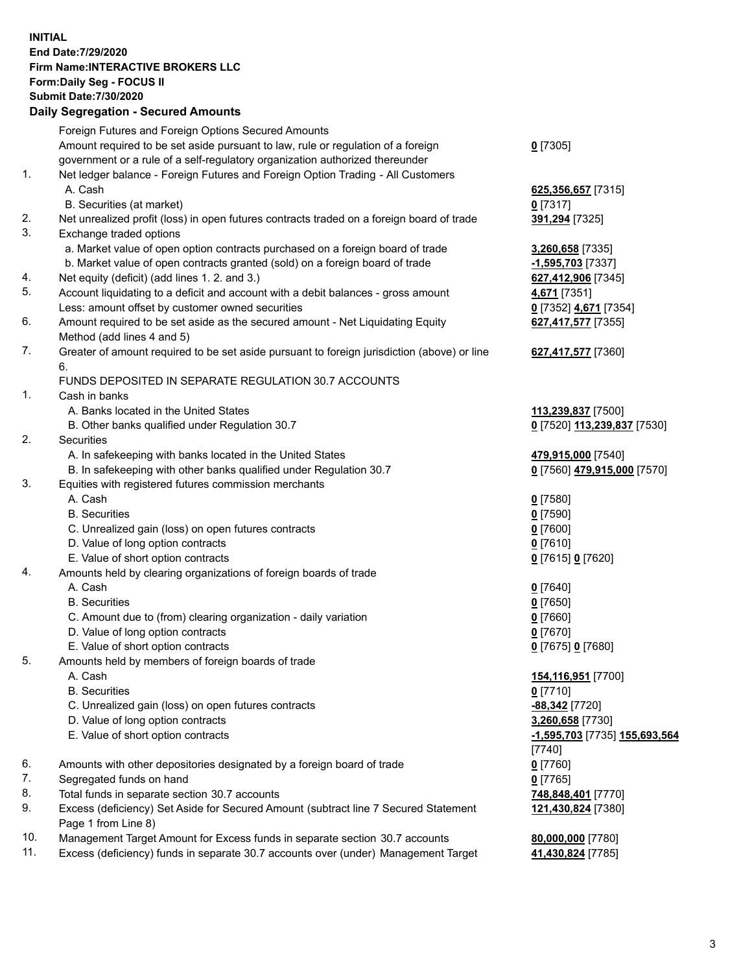**INITIAL End Date:7/29/2020 Firm Name:INTERACTIVE BROKERS LLC Form:Daily Seg - FOCUS II Submit Date:7/30/2020 Daily Segregation - Secured Amounts**

|     | Dany Ocgregation - Occurea Amounts                                                          |                               |
|-----|---------------------------------------------------------------------------------------------|-------------------------------|
|     | Foreign Futures and Foreign Options Secured Amounts                                         |                               |
|     | Amount required to be set aside pursuant to law, rule or regulation of a foreign            | $0$ [7305]                    |
|     | government or a rule of a self-regulatory organization authorized thereunder                |                               |
| 1.  | Net ledger balance - Foreign Futures and Foreign Option Trading - All Customers             |                               |
|     | A. Cash                                                                                     | 625,356,657 [7315]            |
|     | B. Securities (at market)                                                                   | $0$ [7317]                    |
| 2.  | Net unrealized profit (loss) in open futures contracts traded on a foreign board of trade   | 391,294 [7325]                |
| 3.  | Exchange traded options                                                                     |                               |
|     | a. Market value of open option contracts purchased on a foreign board of trade              | 3,260,658 [7335]              |
|     | b. Market value of open contracts granted (sold) on a foreign board of trade                | -1,595,703 [7337]             |
| 4.  | Net equity (deficit) (add lines 1. 2. and 3.)                                               | 627,412,906 [7345]            |
| 5.  | Account liquidating to a deficit and account with a debit balances - gross amount           | 4,671 [7351]                  |
|     | Less: amount offset by customer owned securities                                            | 0 [7352] 4,671 [7354]         |
| 6.  | Amount required to be set aside as the secured amount - Net Liquidating Equity              | 627,417,577 [7355]            |
|     | Method (add lines 4 and 5)                                                                  |                               |
| 7.  | Greater of amount required to be set aside pursuant to foreign jurisdiction (above) or line | 627,417,577 [7360]            |
|     | 6.                                                                                          |                               |
|     | FUNDS DEPOSITED IN SEPARATE REGULATION 30.7 ACCOUNTS                                        |                               |
| 1.  | Cash in banks                                                                               |                               |
|     | A. Banks located in the United States                                                       | 113,239,837 [7500]            |
|     | B. Other banks qualified under Regulation 30.7                                              | 0 [7520] 113,239,837 [7530]   |
| 2.  | Securities                                                                                  |                               |
|     | A. In safekeeping with banks located in the United States                                   | 479,915,000 [7540]            |
|     | B. In safekeeping with other banks qualified under Regulation 30.7                          | 0 [7560] 479,915,000 [7570]   |
| 3.  | Equities with registered futures commission merchants                                       |                               |
|     | A. Cash                                                                                     | $0$ [7580]                    |
|     | <b>B.</b> Securities                                                                        | $0$ [7590]                    |
|     | C. Unrealized gain (loss) on open futures contracts                                         | $0$ [7600]                    |
|     | D. Value of long option contracts                                                           | $0$ [7610]                    |
|     | E. Value of short option contracts                                                          | 0 [7615] 0 [7620]             |
| 4.  | Amounts held by clearing organizations of foreign boards of trade                           |                               |
|     | A. Cash                                                                                     | $0$ [7640]                    |
|     | <b>B.</b> Securities                                                                        | $0$ [7650]                    |
|     | C. Amount due to (from) clearing organization - daily variation                             | $0$ [7660]                    |
|     | D. Value of long option contracts                                                           | $0$ [7670]                    |
|     | E. Value of short option contracts                                                          | 0 [7675] 0 [7680]             |
| 5.  | Amounts held by members of foreign boards of trade                                          |                               |
|     | A. Cash                                                                                     | 154,116,951 [7700]            |
|     | <b>B.</b> Securities                                                                        | $0$ [7710]                    |
|     | C. Unrealized gain (loss) on open futures contracts                                         | -88,342 [7720]                |
|     | D. Value of long option contracts                                                           | 3,260,658 [7730]              |
|     | E. Value of short option contracts                                                          | -1,595,703 [7735] 155,693,564 |
|     |                                                                                             | $[7740]$                      |
| 6.  | Amounts with other depositories designated by a foreign board of trade                      | $0$ [7760]                    |
| 7.  | Segregated funds on hand                                                                    | $0$ [7765]                    |
| 8.  | Total funds in separate section 30.7 accounts                                               | 748,848,401 [7770]            |
| 9.  | Excess (deficiency) Set Aside for Secured Amount (subtract line 7 Secured Statement         | 121,430,824 [7380]            |
|     | Page 1 from Line 8)                                                                         |                               |
| 10. | Management Target Amount for Excess funds in separate section 30.7 accounts                 | 80,000,000 [7780]             |
| 11. | Excess (deficiency) funds in separate 30.7 accounts over (under) Management Target          | 41,430,824 [7785]             |
|     |                                                                                             |                               |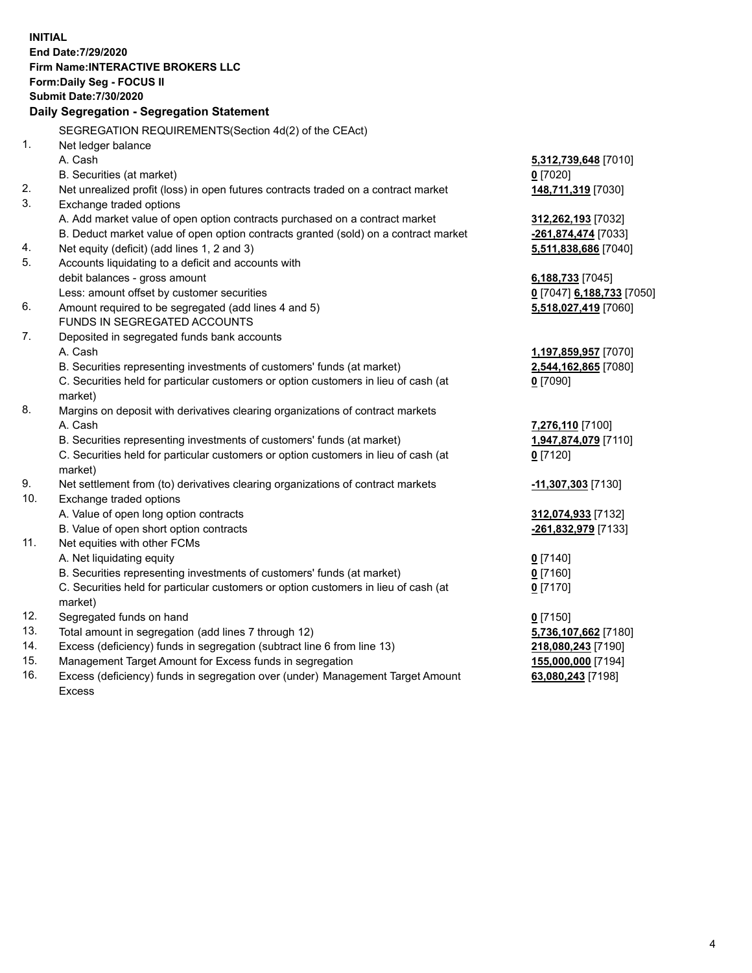**INITIAL End Date:7/29/2020 Firm Name:INTERACTIVE BROKERS LLC Form:Daily Seg - FOCUS II Submit Date:7/30/2020 Daily Segregation - Segregation Statement** SEGREGATION REQUIREMENTS(Section 4d(2) of the CEAct) 1. Net ledger balance A. Cash **5,312,739,648** [7010] B. Securities (at market) **0** [7020] 2. Net unrealized profit (loss) in open futures contracts traded on a contract market **148,711,319** [7030] 3. Exchange traded options A. Add market value of open option contracts purchased on a contract market **312,262,193** [7032] B. Deduct market value of open option contracts granted (sold) on a contract market **-261,874,474** [7033] 4. Net equity (deficit) (add lines 1, 2 and 3) **5,511,838,686** [7040] 5. Accounts liquidating to a deficit and accounts with debit balances - gross amount **6,188,733** [7045] Less: amount offset by customer securities **0** [7047] **6,188,733** [7050] 6. Amount required to be segregated (add lines 4 and 5) **5,518,027,419** [7060] FUNDS IN SEGREGATED ACCOUNTS 7. Deposited in segregated funds bank accounts A. Cash **1,197,859,957** [7070] B. Securities representing investments of customers' funds (at market) **2,544,162,865** [7080] C. Securities held for particular customers or option customers in lieu of cash (at market) **0** [7090] 8. Margins on deposit with derivatives clearing organizations of contract markets A. Cash **7,276,110** [7100] B. Securities representing investments of customers' funds (at market) **1,947,874,079** [7110] C. Securities held for particular customers or option customers in lieu of cash (at market) **0** [7120] 9. Net settlement from (to) derivatives clearing organizations of contract markets **-11,307,303** [7130] 10. Exchange traded options A. Value of open long option contracts **312,074,933** [7132] B. Value of open short option contracts **-261,832,979** [7133] 11. Net equities with other FCMs A. Net liquidating equity **0** [7140] B. Securities representing investments of customers' funds (at market) **0** [7160] C. Securities held for particular customers or option customers in lieu of cash (at market) **0** [7170] 12. Segregated funds on hand **0** [7150] 13. Total amount in segregation (add lines 7 through 12) **5,736,107,662** [7180] 14. Excess (deficiency) funds in segregation (subtract line 6 from line 13) **218,080,243** [7190] 15. Management Target Amount for Excess funds in segregation **155,000,000** [7194] 16. Excess (deficiency) funds in segregation over (under) Management Target Amount **63,080,243** [7198]

Excess